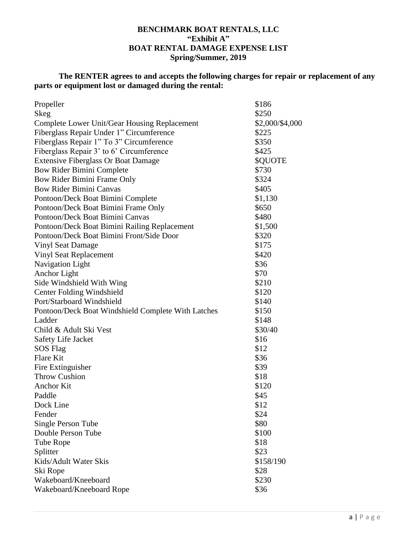### **BENCHMARK BOAT RENTALS, LLC "Exhibit A" BOAT RENTAL DAMAGE EXPENSE LIST Spring/Summer, 2019**

# **The RENTER agrees to and accepts the following charges for repair or replacement of any parts or equipment lost or damaged during the rental:**

| Propeller                                          | \$186           |
|----------------------------------------------------|-----------------|
| Skeg                                               | \$250           |
| Complete Lower Unit/Gear Housing Replacement       | \$2,000/\$4,000 |
| Fiberglass Repair Under 1" Circumference           | \$225           |
| Fiberglass Repair 1" To 3" Circumference           | \$350           |
| Fiberglass Repair 3' to 6' Circumference           | \$425           |
| <b>Extensive Fiberglass Or Boat Damage</b>         | \$QUOTE         |
| <b>Bow Rider Bimini Complete</b>                   | \$730           |
| Bow Rider Bimini Frame Only                        | \$324           |
| <b>Bow Rider Bimini Canvas</b>                     | \$405           |
| Pontoon/Deck Boat Bimini Complete                  | \$1,130         |
| Pontoon/Deck Boat Bimini Frame Only                | \$650           |
| Pontoon/Deck Boat Bimini Canvas                    | \$480           |
| Pontoon/Deck Boat Bimini Railing Replacement       | \$1,500         |
| Pontoon/Deck Boat Bimini Front/Side Door           | \$320           |
| <b>Vinyl Seat Damage</b>                           | \$175           |
| <b>Vinyl Seat Replacement</b>                      | \$420           |
| Navigation Light                                   | \$36            |
| Anchor Light                                       | \$70            |
| Side Windshield With Wing                          | \$210           |
| <b>Center Folding Windshield</b>                   | \$120           |
| Port/Starboard Windshield                          | \$140           |
| Pontoon/Deck Boat Windshield Complete With Latches | \$150           |
| Ladder                                             | \$148           |
| Child & Adult Ski Vest                             | \$30/40         |
| <b>Safety Life Jacket</b>                          | \$16            |
| <b>SOS</b> Flag                                    | \$12            |
| Flare Kit                                          | \$36            |
| Fire Extinguisher                                  | \$39            |
| <b>Throw Cushion</b>                               | \$18            |
| <b>Anchor Kit</b>                                  | \$120           |
| Paddle                                             | \$45            |
| Dock Line                                          | \$12            |
| Fender                                             | \$24            |
| Single Person Tube                                 | \$80            |
| Double Person Tube                                 | \$100           |
| Tube Rope                                          | \$18            |
| Splitter                                           | \$23            |
| Kids/Adult Water Skis                              | \$158/190       |
| Ski Rope                                           | \$28            |
| Wakeboard/Kneeboard                                | \$230           |
| Wakeboard/Kneeboard Rope                           | \$36            |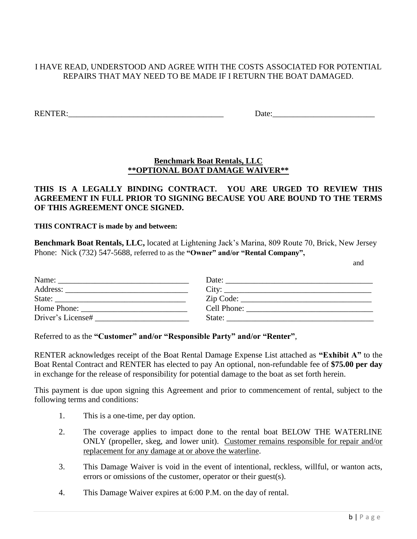### I HAVE READ, UNDERSTOOD AND AGREE WITH THE COSTS ASSOCIATED FOR POTENTIAL REPAIRS THAT MAY NEED TO BE MADE IF I RETURN THE BOAT DAMAGED.

RENTER:\_\_\_\_\_\_\_\_\_\_\_\_\_\_\_\_\_\_\_\_\_\_\_\_\_\_\_\_\_\_\_\_\_\_\_\_\_\_ Date:\_\_\_\_\_\_\_\_\_\_\_\_\_\_\_\_\_\_\_\_\_\_\_\_\_

### **Benchmark Boat Rentals, LLC \*\*OPTIONAL BOAT DAMAGE WAIVER\*\***

# **THIS IS A LEGALLY BINDING CONTRACT. YOU ARE URGED TO REVIEW THIS AGREEMENT IN FULL PRIOR TO SIGNING BECAUSE YOU ARE BOUND TO THE TERMS OF THIS AGREEMENT ONCE SIGNED.**

#### **THIS CONTRACT is made by and between:**

**Benchmark Boat Rentals, LLC,** located at Lightening Jack's Marina, 809 Route 70, Brick, New Jersey Phone: Nick (732) 547-5688, referred to as the **"Owner" and/or "Rental Company",**

and

| Name:<br><u> 1980 - Andrea Andrewski, fransk politik (d. 1980)</u> | Date: $\frac{1}{\sqrt{1-\frac{1}{2}}\sqrt{1-\frac{1}{2}}\sqrt{1-\frac{1}{2}}\sqrt{1-\frac{1}{2}}\sqrt{1-\frac{1}{2}}}}$ |
|--------------------------------------------------------------------|-------------------------------------------------------------------------------------------------------------------------|
| Address:                                                           | $\text{City:}\n\quad \overbrace{\hspace{2.5cm}}$                                                                        |
|                                                                    | $\mathsf{Zip Code:}\n$                                                                                                  |
|                                                                    |                                                                                                                         |
| Driver's License#                                                  |                                                                                                                         |

Referred to as the **"Customer" and/or "Responsible Party" and/or "Renter"**,

RENTER acknowledges receipt of the Boat Rental Damage Expense List attached as **"Exhibit A"** to the Boat Rental Contract and RENTER has elected to pay An optional, non-refundable fee of **\$75.00 per day** in exchange for the release of responsibility for potential damage to the boat as set forth herein.

This payment is due upon signing this Agreement and prior to commencement of rental, subject to the following terms and conditions:

- 1. This is a one-time, per day option.
- 2. The coverage applies to impact done to the rental boat BELOW THE WATERLINE ONLY (propeller, skeg, and lower unit). Customer remains responsible for repair and/or replacement for any damage at or above the waterline.
- 3. This Damage Waiver is void in the event of intentional, reckless, willful, or wanton acts, errors or omissions of the customer, operator or their guest(s).
- 4. This Damage Waiver expires at 6:00 P.M. on the day of rental.